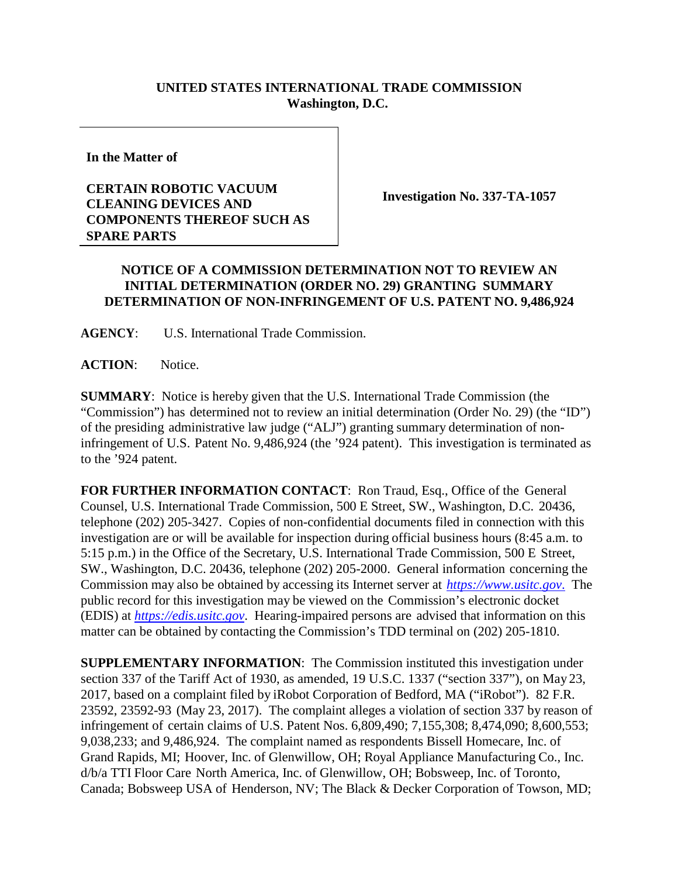## **UNITED STATES INTERNATIONAL TRADE COMMISSION Washington, D.C.**

**In the Matter of**

## **CERTAIN ROBOTIC VACUUM CLEANING DEVICES AND COMPONENTS THEREOF SUCH AS SPARE PARTS**

**Investigation No. 337-TA-1057**

## **NOTICE OF A COMMISSION DETERMINATION NOT TO REVIEW AN INITIAL DETERMINATION (ORDER NO. 29) GRANTING SUMMARY DETERMINATION OF NON-INFRINGEMENT OF U.S. PATENT NO. 9,486,924**

**AGENCY**: U.S. International Trade Commission.

**ACTION**: Notice.

**SUMMARY**: Notice is hereby given that the U.S. International Trade Commission (the "Commission") has determined not to review an initial determination (Order No. 29) (the "ID") of the presiding administrative law judge ("ALJ") granting summary determination of noninfringement of U.S. Patent No. 9,486,924 (the '924 patent). This investigation is terminated as to the '924 patent.

**FOR FURTHER INFORMATION CONTACT**: Ron Traud, Esq., Office of the General Counsel, U.S. International Trade Commission, 500 E Street, SW., Washington, D.C. 20436, telephone (202) 205-3427. Copies of non-confidential documents filed in connection with this investigation are or will be available for inspection during official business hours (8:45 a.m. to 5:15 p.m.) in the Office of the Secretary, U.S. International Trade Commission, 500 E Street, SW., Washington, D.C. 20436, telephone (202) 205-2000. General information concerning the Commission may also be obtained by accessing its Internet server at *[https://www.usitc.gov](https://www.usitc.gov./)*. The public record for this investigation may be viewed on the Commission's electronic docket (EDIS) at *[https://edis.usitc.gov](https://edis.usitc.gov/)*. Hearing-impaired persons are advised that information on this matter can be obtained by contacting the Commission's TDD terminal on (202) 205-1810.

**SUPPLEMENTARY INFORMATION**: The Commission instituted this investigation under section 337 of the Tariff Act of 1930, as amended, 19 U.S.C. 1337 ("section 337"), on May 23, 2017, based on a complaint filed by iRobot Corporation of Bedford, MA ("iRobot"). 82 F.R. 23592, 23592-93 (May 23, 2017). The complaint alleges a violation of section 337 by reason of infringement of certain claims of U.S. Patent Nos. 6,809,490; 7,155,308; 8,474,090; 8,600,553; 9,038,233; and 9,486,924. The complaint named as respondents Bissell Homecare, Inc. of Grand Rapids, MI; Hoover, Inc. of Glenwillow, OH; Royal Appliance Manufacturing Co., Inc. d/b/a TTI Floor Care North America, Inc. of Glenwillow, OH; Bobsweep, Inc. of Toronto, Canada; Bobsweep USA of Henderson, NV; The Black & Decker Corporation of Towson, MD;